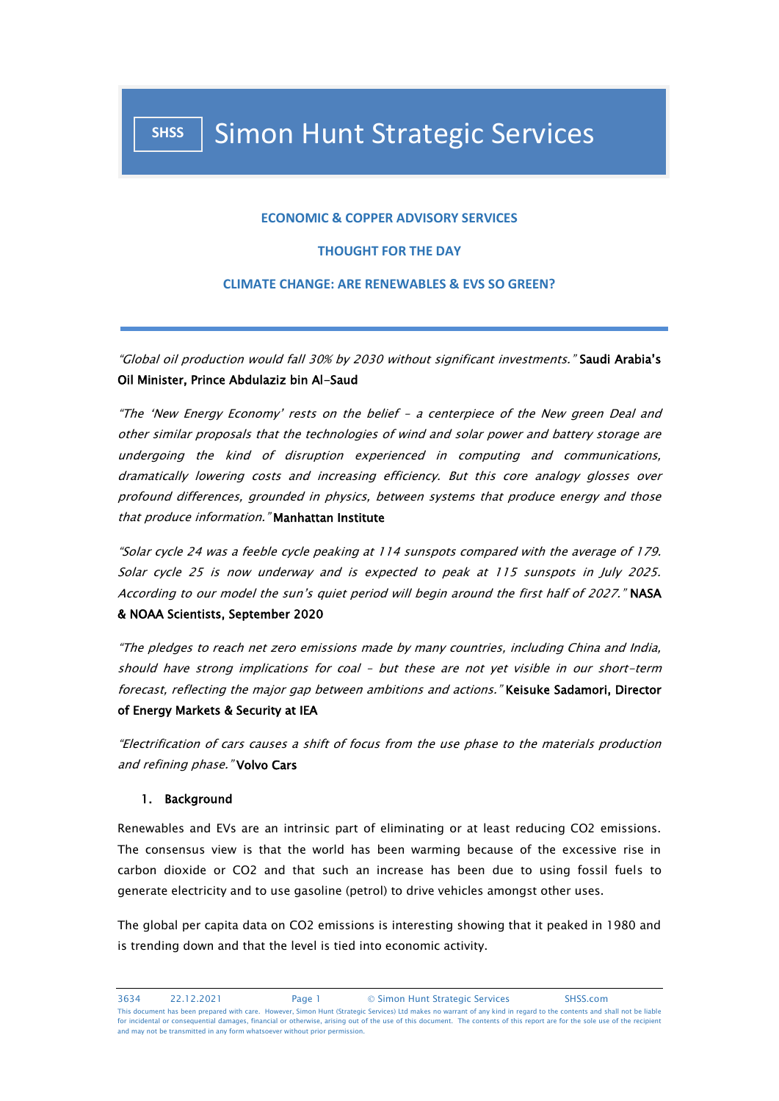### **ECONOMIC & COPPER ADVISORY SERVICES**

## **THOUGHT FOR THE DAY**

#### **CLIMATE CHANGE: ARE RENEWABLES & EVS SO GREEN?**

"Global oil production would fall 30% by 2030 without significant investments." Saudi Arabia's Oil Minister, Prince Abdulaziz bin Al-Saud

"The 'New Energy Economy' rests on the belief – a centerpiece of the New green Deal and other similar proposals that the technologies of wind and solar power and battery storage are undergoing the kind of disruption experienced in computing and communications, dramatically lowering costs and increasing efficiency. But this core analogy glosses over profound differences, grounded in physics, between systems that produce energy and those that produce information." Manhattan Institute

"Solar cycle 24 was a feeble cycle peaking at 114 sunspots compared with the average of 179. Solar cycle 25 is now underway and is expected to peak at 115 sunspots in July 2025. According to our model the sun's quiet period will begin around the first half of 2027." NASA & NOAA Scientists, September 2020

"The pledges to reach net zero emissions made by many countries, including China and India, should have strong implications for coal – but these are not yet visible in our short-term forecast, reflecting the major gap between ambitions and actions." Keisuke Sadamori, Director of Energy Markets & Security at IEA

"Electrification of cars causes a shift of focus from the use phase to the materials production and refining phase." Volvo Cars

#### 1. Background

Renewables and EVs are an intrinsic part of eliminating or at least reducing CO2 emissions. The consensus view is that the world has been warming because of the excessive rise in carbon dioxide or CO2 and that such an increase has been due to using fossil fuels to generate electricity and to use gasoline (petrol) to drive vehicles amongst other uses.

The global per capita data on CO2 emissions is interesting showing that it peaked in 1980 and is trending down and that the level is tied into economic activity.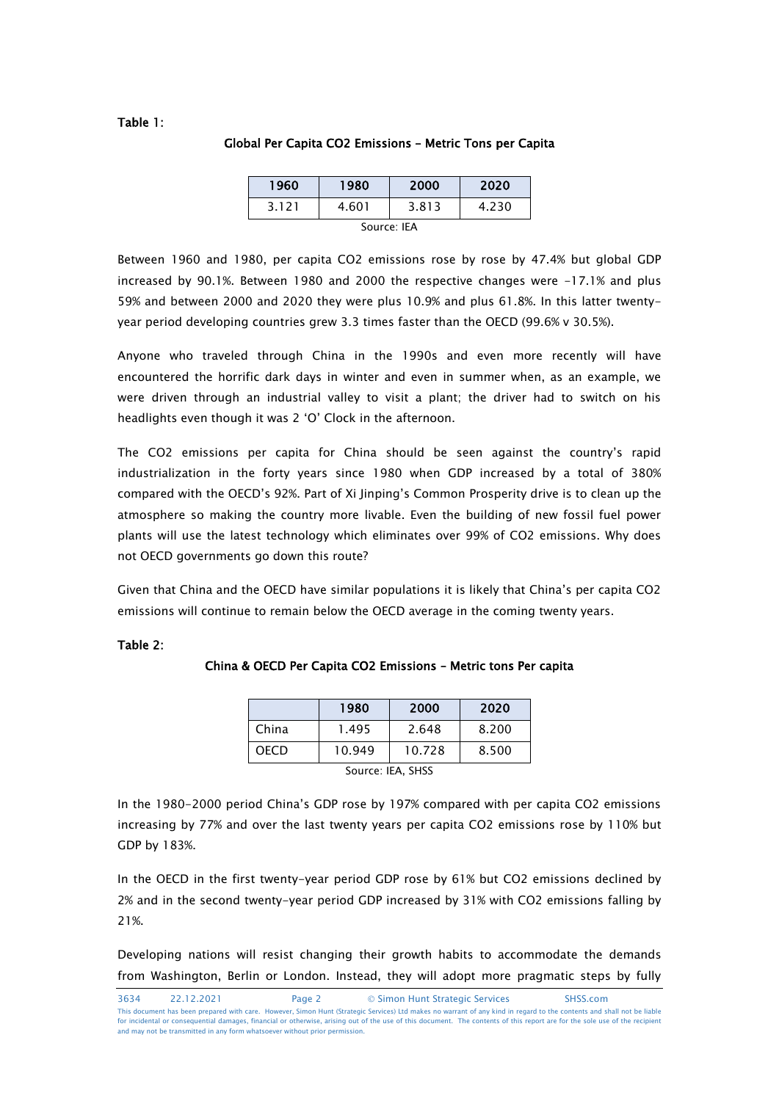## Table 1:

#### Global Per Capita CO2 Emissions – Metric Tons per Capita

| 1960        | 1980  | 2000  | 2020  |  |  |
|-------------|-------|-------|-------|--|--|
| 3.121       | 4.601 | 3.813 | 4.230 |  |  |
| Source: IFA |       |       |       |  |  |

Between 1960 and 1980, per capita CO2 emissions rose by rose by 47.4% but global GDP increased by 90.1%. Between 1980 and 2000 the respective changes were -17.1% and plus 59% and between 2000 and 2020 they were plus 10.9% and plus 61.8%. In this latter twentyyear period developing countries grew 3.3 times faster than the OECD (99.6% v 30.5%).

Anyone who traveled through China in the 1990s and even more recently will have encountered the horrific dark days in winter and even in summer when, as an example, we were driven through an industrial valley to visit a plant; the driver had to switch on his headlights even though it was 2 'O' Clock in the afternoon.

The CO2 emissions per capita for China should be seen against the country's rapid industrialization in the forty years since 1980 when GDP increased by a total of 380% compared with the OECD's 92%. Part of Xi Jinping's Common Prosperity drive is to clean up the atmosphere so making the country more livable. Even the building of new fossil fuel power plants will use the latest technology which eliminates over 99% of CO2 emissions. Why does not OECD governments go down this route?

Given that China and the OECD have similar populations it is likely that China's per capita CO2 emissions will continue to remain below the OECD average in the coming twenty years.

#### Table 2:

|       | 1980   | 2000   | 2020  |
|-------|--------|--------|-------|
| China | 1.495  | 2.648  | 8.200 |
| OECD  | 10.949 | 10.728 | 8.500 |

### China & OECD Per Capita CO2 Emissions – Metric tons Per capita

Source: IEA, SHSS

In the 1980-2000 period China's GDP rose by 197% compared with per capita CO2 emissions increasing by 77% and over the last twenty years per capita CO2 emissions rose by 110% but GDP by 183%.

In the OECD in the first twenty-year period GDP rose by 61% but CO2 emissions declined by 2% and in the second twenty-year period GDP increased by 31% with CO2 emissions falling by 21%.

Developing nations will resist changing their growth habits to accommodate the demands from Washington, Berlin or London. Instead, they will adopt more pragmatic steps by fully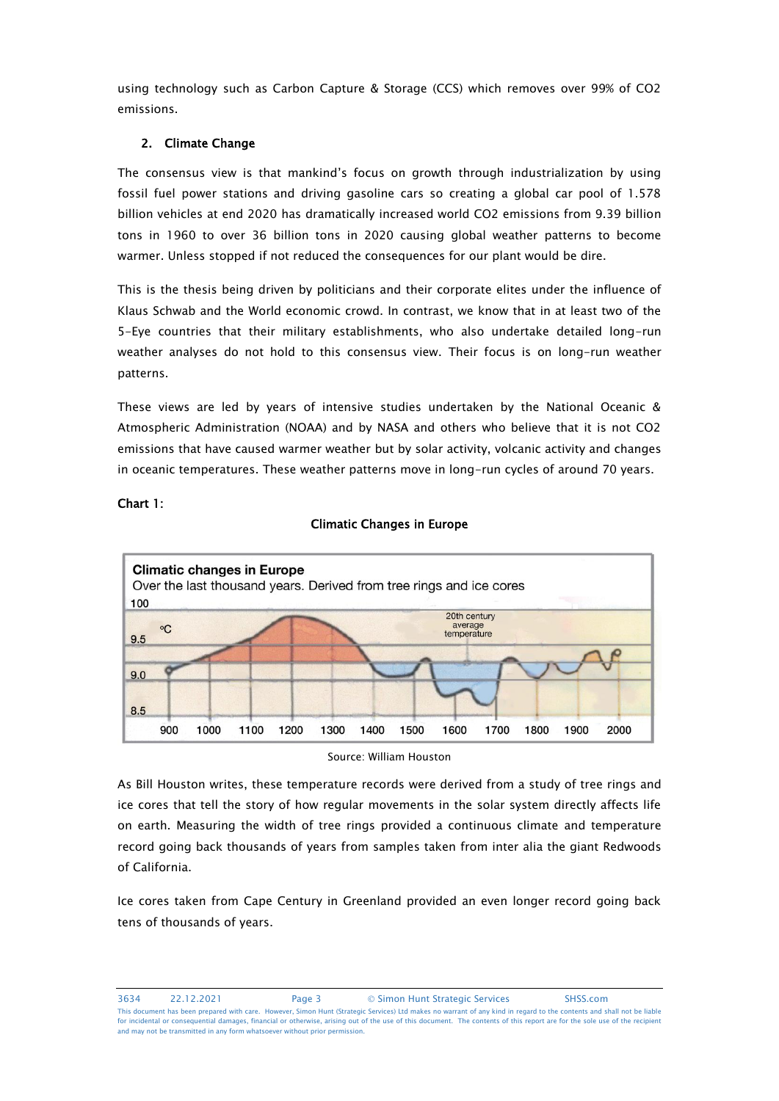using technology such as Carbon Capture & Storage (CCS) which removes over 99% of CO2 emissions.

# 2. Climate Change

The consensus view is that mankind's focus on growth through industrialization by using fossil fuel power stations and driving gasoline cars so creating a global car pool of 1.578 billion vehicles at end 2020 has dramatically increased world CO2 emissions from 9.39 billion tons in 1960 to over 36 billion tons in 2020 causing global weather patterns to become warmer. Unless stopped if not reduced the consequences for our plant would be dire.

This is the thesis being driven by politicians and their corporate elites under the influence of Klaus Schwab and the World economic crowd. In contrast, we know that in at least two of the 5-Eye countries that their military establishments, who also undertake detailed long-run weather analyses do not hold to this consensus view. Their focus is on long-run weather patterns.

These views are led by years of intensive studies undertaken by the National Oceanic & Atmospheric Administration (NOAA) and by NASA and others who believe that it is not CO2 emissions that have caused warmer weather but by solar activity, volcanic activity and changes in oceanic temperatures. These weather patterns move in long-run cycles of around 70 years.

Climatic Changes in Europe



# Chart 1:

Source: William Houston

As Bill Houston writes, these temperature records were derived from a study of tree rings and ice cores that tell the story of how regular movements in the solar system directly affects life on earth. Measuring the width of tree rings provided a continuous climate and temperature record going back thousands of years from samples taken from inter alia the giant Redwoods of California.

Ice cores taken from Cape Century in Greenland provided an even longer record going back tens of thousands of years.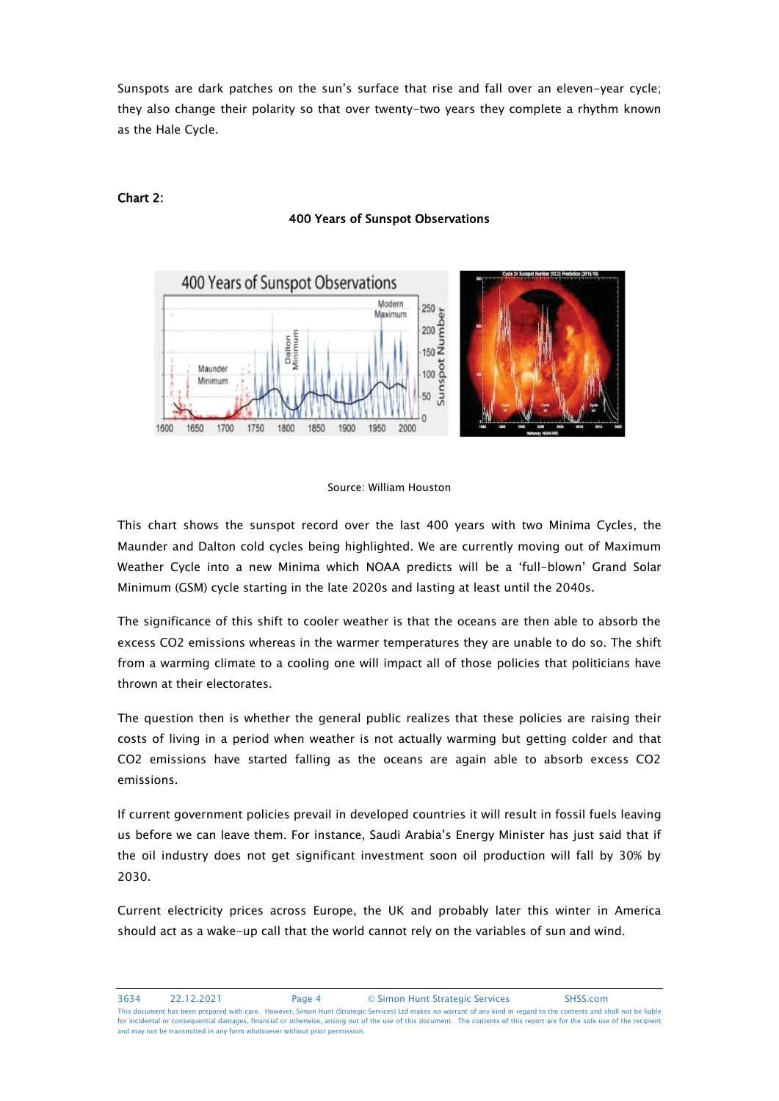Sunspots are dark patches on the sun's surface that rise and fall over an eleven-year cycle; they also change their polarity so that over twenty-two years they complete a rhythm known as the Hale Cycle.



# Chart 2:

#### 400 Years of Sunspot Observations



#### Source: William Houston

This chart shows the sunspot record over the last 400 years with two Minima Cycles, the Maunder and Dalton cold cycles being highlighted. We are currently moving out of Maximum Weather Cycle into a new Minima which NOAA predicts will be a 'full-blown' Grand Solar Minimum (GSM) cycle starting in the late 2020s and lasting at least until the 2040s.

The significance of this shift to cooler weather is that the oceans are then able to absorb the excess CO2 emissions whereas in the warmer temperatures they are unable to do so. The shift from a warming climate to a cooling one will impact all of those policies that politicians have thrown at their electorates.

The question then is whether the general public realizes that these policies are raising their costs of living in a period when weather is not actually warming but getting colder and that CO2 emissions have started falling as the oceans are again able to absorb excess CO2 emissions.

If current government policies prevail in developed countries it will result in fossil fuels leaving us before we can leave them. For instance, Saudi Arabia's Energy Minister has just said that if the oil industry does not get significant investment soon oil production will fall by 30% by 2030.

Current electricity prices across Europe, the UK and probably later this winter in America should act as a wake-up call that the world cannot rely on the variables of sun and wind.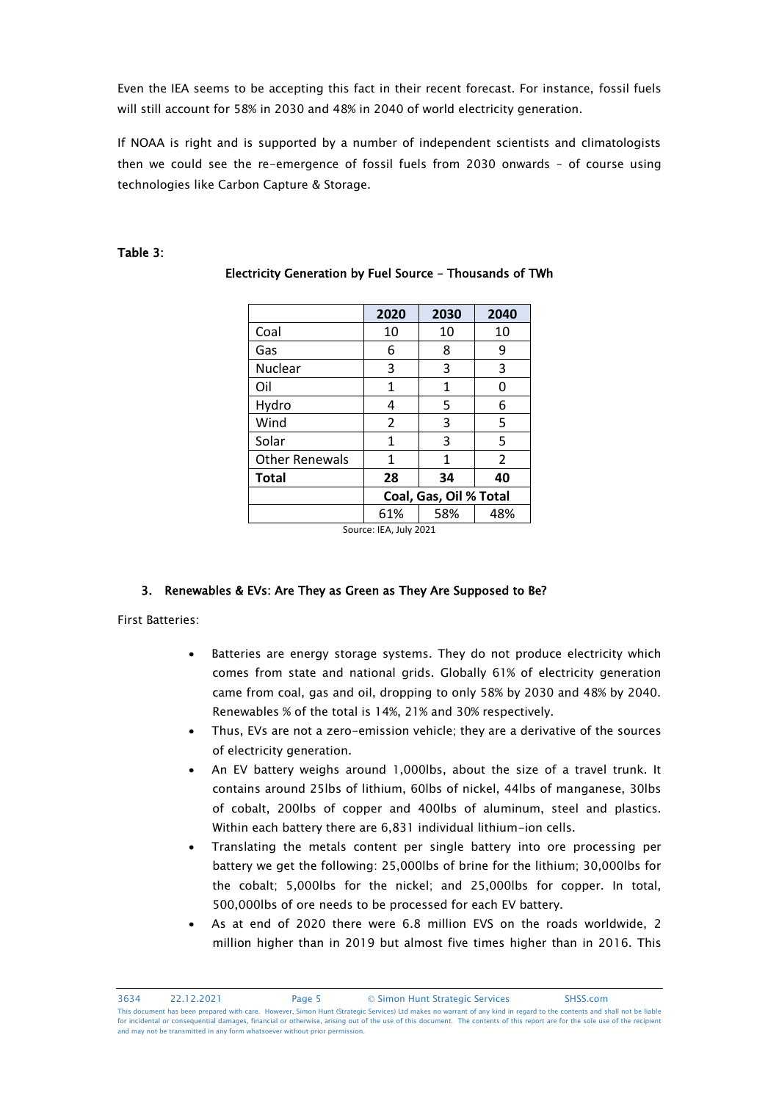Even the IEA seems to be accepting this fact in their recent forecast. For instance, fossil fuels will still account for 58% in 2030 and 48% in 2040 of world electricity generation.

If NOAA is right and is supported by a number of independent scientists and climatologists then we could see the re-emergence of fossil fuels from 2030 onwards – of course using technologies like Carbon Capture & Storage.

## Table 3:

|                       | 2020                   | 2030 | 2040           |  |
|-----------------------|------------------------|------|----------------|--|
| Coal                  | 10                     | 10   | 10             |  |
| Gas                   | 6                      | 8    | 9              |  |
| Nuclear               | 3                      | 3    | 3              |  |
| Oil                   | 1                      | 1    | ი              |  |
| Hydro                 | 4                      | 5    | 6              |  |
| Wind                  | $\overline{2}$         | 3    | 5              |  |
| Solar                 | 1                      | 3    | 5              |  |
| <b>Other Renewals</b> | 1                      | 1    | $\overline{2}$ |  |
| <b>Total</b>          | 28                     | 34   | 40             |  |
|                       | Coal, Gas, Oil % Total |      |                |  |
|                       | 61%                    | 58%  | 48%            |  |

# Electricity Generation by Fuel Source – Thousands of TWh

Source: IEA, July 2021

# 3. Renewables & EVs: Are They as Green as They Are Supposed to Be?

First Batteries:

- Batteries are energy storage systems. They do not produce electricity which comes from state and national grids. Globally 61% of electricity generation came from coal, gas and oil, dropping to only 58% by 2030 and 48% by 2040. Renewables % of the total is 14%, 21% and 30% respectively.
- Thus, EVs are not a zero-emission vehicle; they are a derivative of the sources of electricity generation.
- An EV battery weighs around 1,000lbs, about the size of a travel trunk. It contains around 25lbs of lithium, 60lbs of nickel, 44lbs of manganese, 30lbs of cobalt, 200lbs of copper and 400lbs of aluminum, steel and plastics. Within each battery there are 6,831 individual lithium-ion cells.
- Translating the metals content per single battery into ore processing per battery we get the following: 25,000lbs of brine for the lithium; 30,000lbs for the cobalt; 5,000lbs for the nickel; and 25,000lbs for copper. In total, 500,000lbs of ore needs to be processed for each EV battery.
- As at end of 2020 there were 6.8 million EVS on the roads worldwide, 2 million higher than in 2019 but almost five times higher than in 2016. This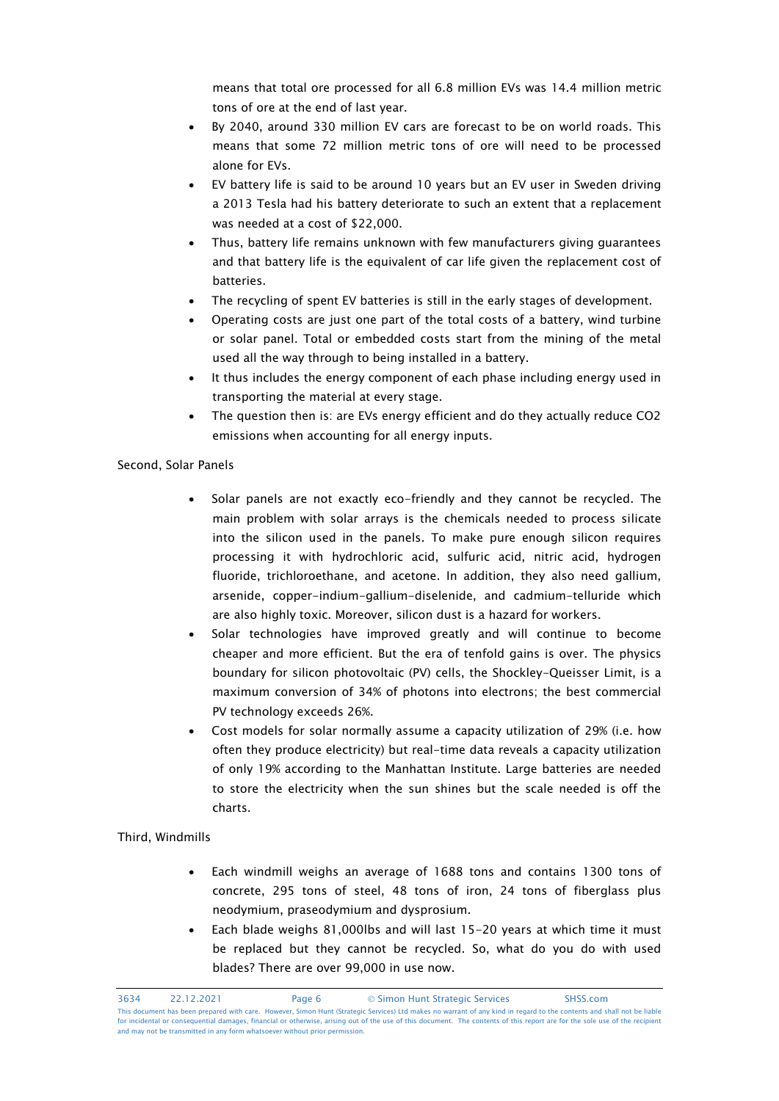means that total ore processed for all 6.8 million EVs was 14.4 million metric tons of ore at the end of last year.

- By 2040, around 330 million EV cars are forecast to be on world roads. This means that some 72 million metric tons of ore will need to be processed alone for EVs.
- EV battery life is said to be around 10 years but an EV user in Sweden driving a 2013 Tesla had his battery deteriorate to such an extent that a replacement was needed at a cost of \$22,000.
- Thus, battery life remains unknown with few manufacturers giving guarantees and that battery life is the equivalent of car life given the replacement cost of batteries.
- The recycling of spent EV batteries is still in the early stages of development.
- Operating costs are just one part of the total costs of a battery, wind turbine or solar panel. Total or embedded costs start from the mining of the metal used all the way through to being installed in a battery.
- It thus includes the energy component of each phase including energy used in transporting the material at every stage.
- The question then is: are EVs energy efficient and do they actually reduce CO2 emissions when accounting for all energy inputs.

# Second, Solar Panels

- Solar panels are not exactly eco-friendly and they cannot be recycled. The main problem with solar arrays is the chemicals needed to process silicate into the silicon used in the panels. To make pure enough silicon requires processing it with hydrochloric acid, sulfuric acid, nitric acid, hydrogen fluoride, trichloroethane, and acetone. In addition, they also need gallium, arsenide, copper-indium-gallium-diselenide, and cadmium-telluride which are also highly toxic. Moreover, silicon dust is a hazard for workers.
- Solar technologies have improved greatly and will continue to become cheaper and more efficient. But the era of tenfold gains is over. The physics boundary for silicon photovoltaic (PV) cells, the Shockley-Queisser Limit, is a maximum conversion of 34% of photons into electrons; the best commercial PV technology exceeds 26%.
- Cost models for solar normally assume a capacity utilization of 29% (i.e. how often they produce electricity) but real-time data reveals a capacity utilization of only 19% according to the Manhattan Institute. Large batteries are needed to store the electricity when the sun shines but the scale needed is off the charts.

### Third, Windmills

- Each windmill weighs an average of 1688 tons and contains 1300 tons of concrete, 295 tons of steel, 48 tons of iron, 24 tons of fiberglass plus neodymium, praseodymium and dysprosium.
- Each blade weighs 81,000lbs and will last 15-20 years at which time it must be replaced but they cannot be recycled. So, what do you do with used blades? There are over 99,000 in use now.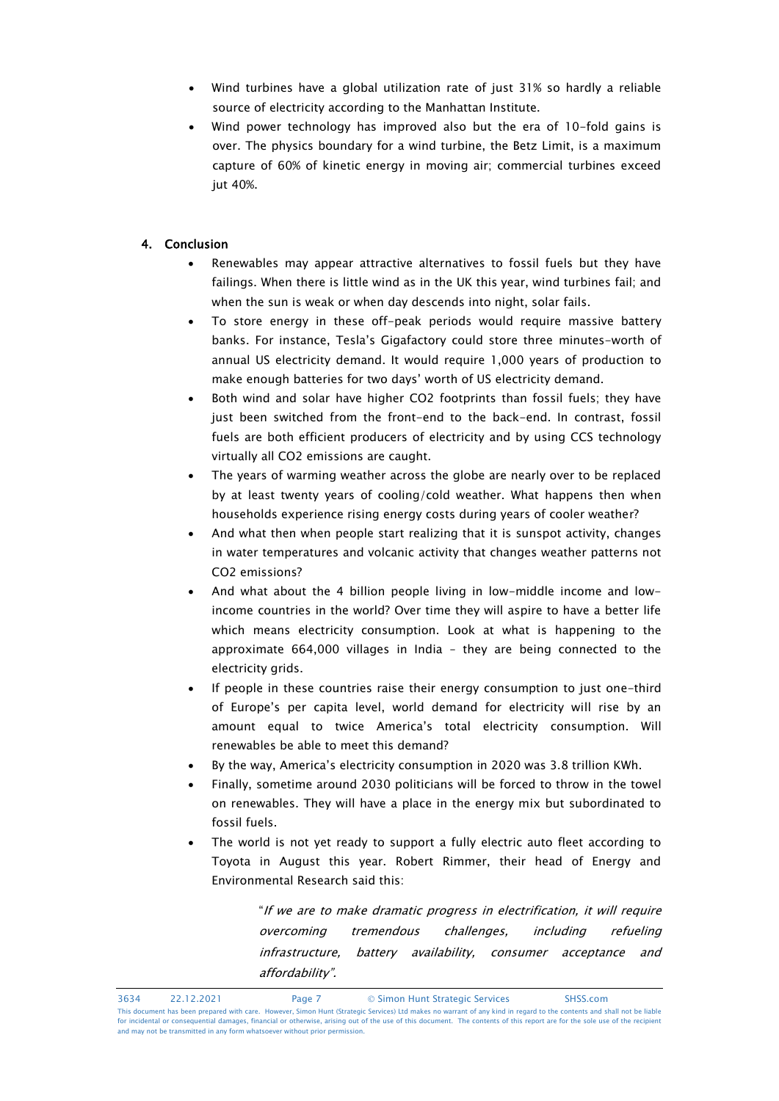- Wind turbines have a global utilization rate of just 31% so hardly a reliable source of electricity according to the Manhattan Institute.
- Wind power technology has improved also but the era of 10-fold gains is over. The physics boundary for a wind turbine, the Betz Limit, is a maximum capture of 60% of kinetic energy in moving air; commercial turbines exceed jut 40%.

# 4. Conclusion

- Renewables may appear attractive alternatives to fossil fuels but they have failings. When there is little wind as in the UK this year, wind turbines fail; and when the sun is weak or when day descends into night, solar fails.
- To store energy in these off-peak periods would require massive battery banks. For instance, Tesla's Gigafactory could store three minutes-worth of annual US electricity demand. It would require 1,000 years of production to make enough batteries for two days' worth of US electricity demand.
- Both wind and solar have higher CO2 footprints than fossil fuels; they have just been switched from the front-end to the back-end. In contrast, fossil fuels are both efficient producers of electricity and by using CCS technology virtually all CO2 emissions are caught.
- The years of warming weather across the globe are nearly over to be replaced by at least twenty years of cooling/cold weather. What happens then when households experience rising energy costs during years of cooler weather?
- And what then when people start realizing that it is sunspot activity, changes in water temperatures and volcanic activity that changes weather patterns not CO2 emissions?
- And what about the 4 billion people living in low-middle income and lowincome countries in the world? Over time they will aspire to have a better life which means electricity consumption. Look at what is happening to the approximate 664,000 villages in India – they are being connected to the electricity grids.
- If people in these countries raise their energy consumption to just one-third of Europe's per capita level, world demand for electricity will rise by an amount equal to twice America's total electricity consumption. Will renewables be able to meet this demand?
- By the way, America's electricity consumption in 2020 was 3.8 trillion KWh.
- Finally, sometime around 2030 politicians will be forced to throw in the towel on renewables. They will have a place in the energy mix but subordinated to fossil fuels.
- The world is not yet ready to support a fully electric auto fleet according to Toyota in August this year. Robert Rimmer, their head of Energy and Environmental Research said this:

"If we are to make dramatic progress in electrification, it will require overcoming tremendous challenges, including refueling infrastructure, battery availability, consumer acceptance and affordability".